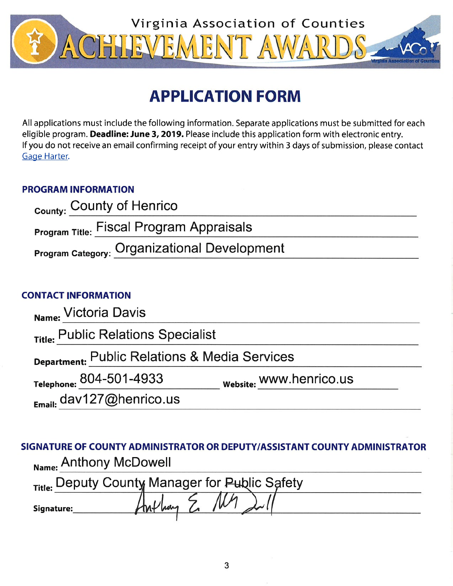

# **APPLICATION FORM**

All applications must include the following information. Separate applications must be submitted for each eligible program. Deadline: June 3, 2019. Please include this application form with electronic entry. If you do not receive an email confirming receipt of your entry within 3 days of submission, please contact Gage Harter.

# **PROGRAM INFORMATION**

| County: County of Henrico                       |  |
|-------------------------------------------------|--|
| <b>Program Title: Fiscal Program Appraisals</b> |  |
| Program Category: Organizational Development    |  |

# **CONTACT INFORMATION**

| Name: Victoria Davis                          |                         |  |
|-----------------------------------------------|-------------------------|--|
| Title: Public Relations Specialist            |                         |  |
| Department: Public Relations & Media Services |                         |  |
| Telephone: 804-501-4933                       | Website: WWW.henrico.us |  |
| Email: dav127@henrico.us                      |                         |  |

SIGNATURE OF COUNTY ADMINISTRATOR OR DEPUTY/ASSISTANT COUNTY ADMINISTRATOR Name: Anthony McDowell

|            | Title: Deputy County Manager for Public Safety |
|------------|------------------------------------------------|
| Signature: |                                                |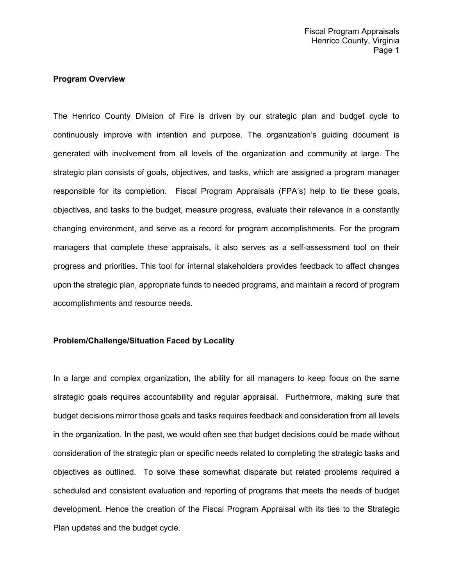# **Program Overview**

The Henrico County Division of Fire is driven by our strategic plan and budget cycle to continuously improve with intention and purpose. The organization's guiding document is generated with involvement from all levels of the organization and community at large. The strategic plan consists of goals, objectives, and tasks, which are assigned a program manager responsible for its completion. Fiscal Program Appraisals (FPA's) help to tie these goals, objectives, and tasks to the budget, measure progress, evaluate their relevance in a constantly changing environment, and serve as a record for program accomplishments. For the program managers that complete these appraisals, it also serves as a self-assessment tool on their progress and priorities. This tool for internal stakeholders provides feedback to affect changes upon the strategic plan, appropriate funds to needed programs, and maintain a record of program accomplishments and resource needs.

# **Problem/Challenge/Situation Faced by Locality**

In a large and complex organization, the ability for all managers to keep focus on the same strategic goals requires accountability and regular appraisal. Furthermore, making sure that budget decisions mirror those goals and tasks requires feedback and consideration from all levels in the organization. In the past, we would often see that budget decisions could be made without consideration of the strategic plan or specific needs related to completing the strategic tasks and objectives as outlined. To solve these somewhat disparate but related problems required a scheduled and consistent evaluation and reporting of programs that meets the needs of budget development. Hence the creation of the Fiscal Program Appraisal with its ties to the Strategic Plan updates and the budget cycle.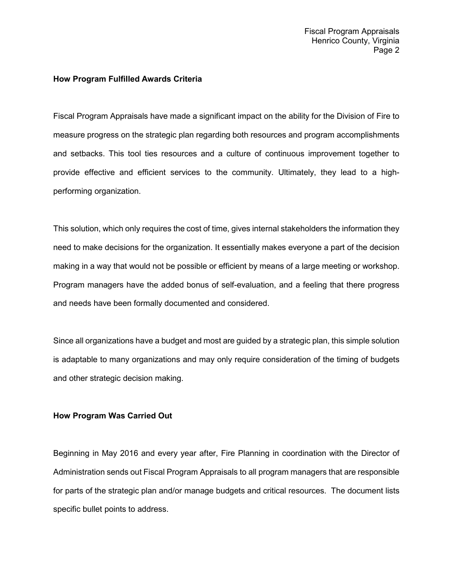#### **How Program Fulfilled Awards Criteria**

Fiscal Program Appraisals have made a significant impact on the ability for the Division of Fire to measure progress on the strategic plan regarding both resources and program accomplishments and setbacks. This tool ties resources and a culture of continuous improvement together to provide effective and efficient services to the community. Ultimately, they lead to a highperforming organization.

This solution, which only requires the cost of time, gives internal stakeholders the information they need to make decisions for the organization. It essentially makes everyone a part of the decision making in a way that would not be possible or efficient by means of a large meeting or workshop. Program managers have the added bonus of self-evaluation, and a feeling that there progress and needs have been formally documented and considered.

Since all organizations have a budget and most are guided by a strategic plan, this simple solution is adaptable to many organizations and may only require consideration of the timing of budgets and other strategic decision making.

# **How Program Was Carried Out**

Beginning in May 2016 and every year after, Fire Planning in coordination with the Director of Administration sends out Fiscal Program Appraisals to all program managers that are responsible for parts of the strategic plan and/or manage budgets and critical resources. The document lists specific bullet points to address.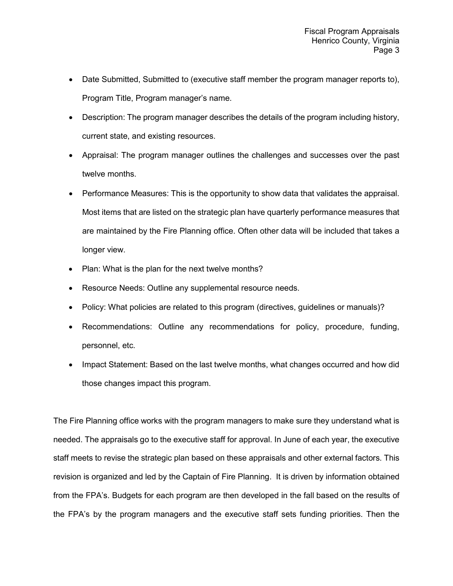- Date Submitted, Submitted to (executive staff member the program manager reports to), Program Title, Program manager's name.
- Description: The program manager describes the details of the program including history, current state, and existing resources.
- Appraisal: The program manager outlines the challenges and successes over the past twelve months.
- Performance Measures: This is the opportunity to show data that validates the appraisal. Most items that are listed on the strategic plan have quarterly performance measures that are maintained by the Fire Planning office. Often other data will be included that takes a longer view.
- Plan: What is the plan for the next twelve months?
- Resource Needs: Outline any supplemental resource needs.
- Policy: What policies are related to this program (directives, guidelines or manuals)?
- Recommendations: Outline any recommendations for policy, procedure, funding, personnel, etc.
- Impact Statement: Based on the last twelve months, what changes occurred and how did those changes impact this program.

The Fire Planning office works with the program managers to make sure they understand what is needed. The appraisals go to the executive staff for approval. In June of each year, the executive staff meets to revise the strategic plan based on these appraisals and other external factors. This revision is organized and led by the Captain of Fire Planning. It is driven by information obtained from the FPA's. Budgets for each program are then developed in the fall based on the results of the FPA's by the program managers and the executive staff sets funding priorities. Then the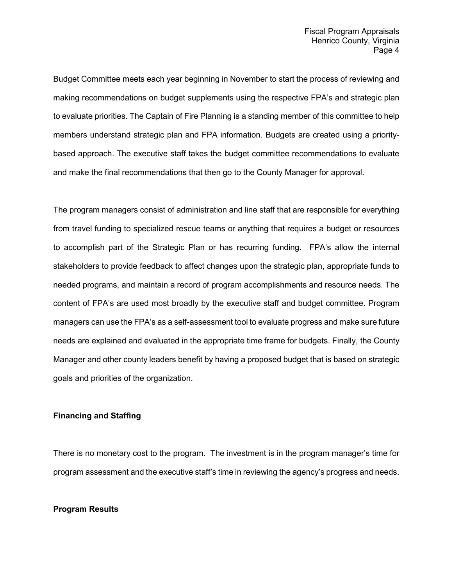Budget Committee meets each year beginning in November to start the process of reviewing and making recommendations on budget supplements using the respective FPA's and strategic plan to evaluate priorities. The Captain of Fire Planning is a standing member of this committee to help members understand strategic plan and FPA information. Budgets are created using a prioritybased approach. The executive staff takes the budget committee recommendations to evaluate and make the final recommendations that then go to the County Manager for approval.

The program managers consist of administration and line staff that are responsible for everything from travel funding to specialized rescue teams or anything that requires a budget or resources to accomplish part of the Strategic Plan or has recurring funding. FPA's allow the internal stakeholders to provide feedback to affect changes upon the strategic plan, appropriate funds to needed programs, and maintain a record of program accomplishments and resource needs. The content of FPA's are used most broadly by the executive staff and budget committee. Program managers can use the FPA's as a self-assessment tool to evaluate progress and make sure future needs are explained and evaluated in the appropriate time frame for budgets. Finally, the County Manager and other county leaders benefit by having a proposed budget that is based on strategic goals and priorities of the organization.

# **Financing and Staffing**

There is no monetary cost to the program. The investment is in the program manager's time for program assessment and the executive staff's time in reviewing the agency's progress and needs.

# **Program Results**